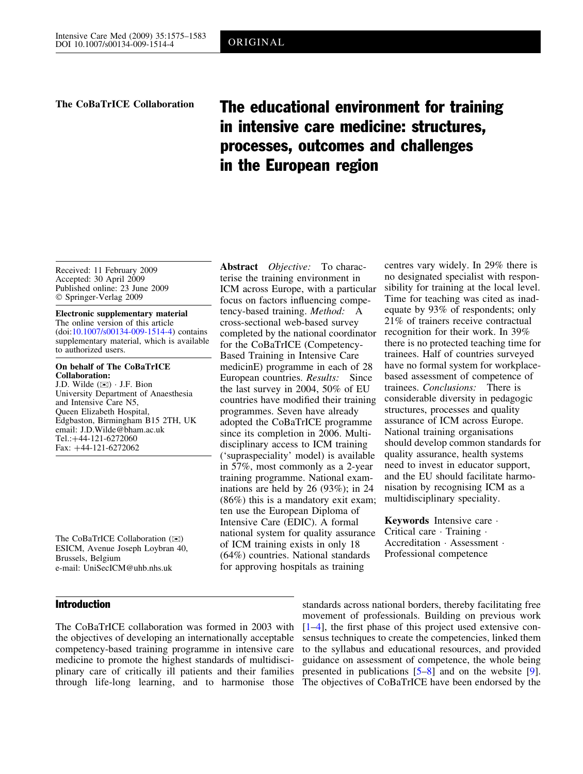# The CoBaTrICE Collaboration The educational environment for training in intensive care medicine: structures, processes, outcomes and challenges in the European region

Received: 11 February 2009 Accepted: 30 April 2009 Published online: 23 June 2009 Springer-Verlag 2009

Electronic supplementary material The online version of this article (doi:[10.1007/s00134-009-1514-4](http://dx.doi.org/10.1007/s00134-009-1514-4)) contains supplementary material, which is available to authorized users.

On behalf of The CoBaTrICE Collaboration: J.D. Wilde  $(\boxtimes) \cdot$  J.F. Bion

University Department of Anaesthesia and Intensive Care N5, Queen Elizabeth Hospital, Edgbaston, Birmingham B15 2TH, UK email: J.D.Wilde@bham.ac.uk Tel.: +44-121-6272060 Fax: +44-121-6272062

The CoBaTrICE Collaboration ( $\boxtimes$ ) ESICM, Avenue Joseph Loybran 40, Brussels, Belgium e-mail: UniSecICM@uhb.nhs.uk

# Introduction

terise the training environment in ICM across Europe, with a particular focus on factors influencing competency-based training. Method: A cross-sectional web-based survey completed by the national coordinator recognition for their work. In 39% for the CoBaTrICE (Competency-Based Training in Intensive Care medicinE) programme in each of 28 European countries. Results: Since the last survey in 2004, 50% of EU countries have modified their training programmes. Seven have already adopted the CoBaTrICE programme since its completion in 2006. Multidisciplinary access to ICM training ('supraspeciality' model) is available in 57%, most commonly as a 2-year training programme. National examinations are held by 26 (93%); in 24 (86%) this is a mandatory exit exam; ten use the European Diploma of Intensive Care (EDIC). A formal national system for quality assurance of ICM training exists in only 18 (64%) countries. National standards for approving hospitals as training

Abstract Objective: To charac-

centres vary widely. In 29% there is no designated specialist with responsibility for training at the local level. Time for teaching was cited as inadequate by 93% of respondents; only 21% of trainers receive contractual there is no protected teaching time for trainees. Half of countries surveyed have no formal system for workplacebased assessment of competence of trainees. Conclusions: There is considerable diversity in pedagogic structures, processes and quality assurance of ICM across Europe. National training organisations should develop common standards for quality assurance, health systems need to invest in educator support, and the EU should facilitate harmonisation by recognising ICM as a multidisciplinary speciality.

**Keywords** Intensive care  $\cdot$ Critical care  $\cdot$  Training  $\cdot$ Accreditation · Assessment · Professional competence

The CoBaTrICE collaboration was formed in 2003 with the objectives of developing an internationally acceptable competency-based training programme in intensive care medicine to promote the highest standards of multidisciplinary care of critically ill patients and their families through life-long learning, and to harmonise those

standards across national borders, thereby facilitating free movement of professionals. Building on previous work [\[1–4](#page-8-0)], the first phase of this project used extensive consensus techniques to create the competencies, linked them to the syllabus and educational resources, and provided guidance on assessment of competence, the whole being presented in publications [[5–8](#page-8-0)] and on the website [\[9\]](#page-8-0). The objectives of CoBaTrICE have been endorsed by the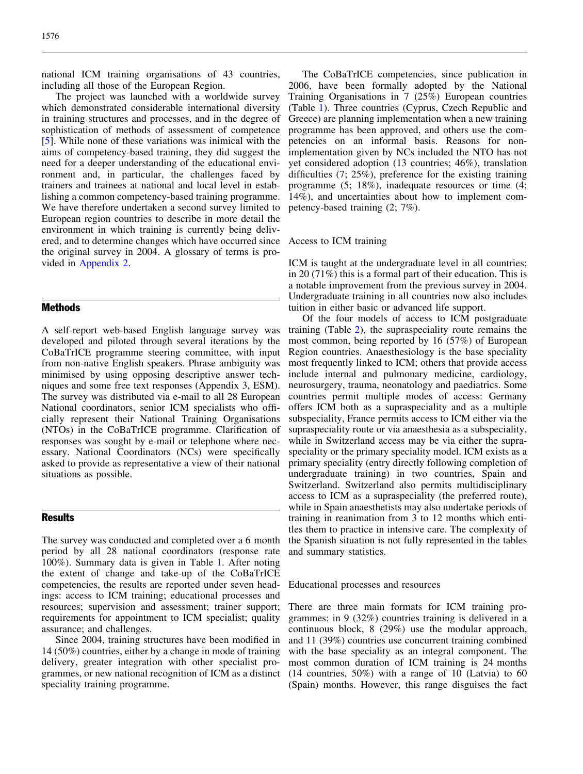national ICM training organisations of 43 countries, including all those of the European Region.

The project was launched with a worldwide survey which demonstrated considerable international diversity in training structures and processes, and in the degree of sophistication of methods of assessment of competence [\[5](#page-8-0)]. While none of these variations was inimical with the aims of competency-based training, they did suggest the need for a deeper understanding of the educational environment and, in particular, the challenges faced by trainers and trainees at national and local level in establishing a common competency-based training programme. We have therefore undertaken a second survey limited to European region countries to describe in more detail the environment in which training is currently being delivered, and to determine changes which have occurred since the original survey in 2004. A glossary of terms is provided in [Appendix 2.](#page-6-0)

# Methods

A self-report web-based English language survey was developed and piloted through several iterations by the CoBaTrICE programme steering committee, with input from non-native English speakers. Phrase ambiguity was minimised by using opposing descriptive answer techniques and some free text responses (Appendix 3, ESM). The survey was distributed via e-mail to all 28 European National coordinators, senior ICM specialists who officially represent their National Training Organisations (NTOs) in the CoBaTrICE programme. Clarification of responses was sought by e-mail or telephone where necessary. National Coordinators (NCs) were specifically asked to provide as representative a view of their national situations as possible.

# Results

The survey was conducted and completed over a 6 month period by all 28 national coordinators (response rate 100%). Summary data is given in Table [1.](#page-2-0) After noting the extent of change and take-up of the CoBaTrICE competencies, the results are reported under seven headings: access to ICM training; educational processes and resources; supervision and assessment; trainer support; requirements for appointment to ICM specialist; quality assurance; and challenges.

Since 2004, training structures have been modified in 14 (50%) countries, either by a change in mode of training delivery, greater integration with other specialist programmes, or new national recognition of ICM as a distinct speciality training programme.

The CoBaTrICE competencies, since publication in 2006, have been formally adopted by the National Training Organisations in 7 (25%) European countries (Table [1\)](#page-2-0). Three countries (Cyprus, Czech Republic and Greece) are planning implementation when a new training programme has been approved, and others use the competencies on an informal basis. Reasons for nonimplementation given by NCs included the NTO has not yet considered adoption (13 countries; 46%), translation difficulties (7; 25%), preference for the existing training programme (5; 18%), inadequate resources or time (4; 14%), and uncertainties about how to implement competency-based training (2; 7%).

#### Access to ICM training

ICM is taught at the undergraduate level in all countries; in 20 (71%) this is a formal part of their education. This is a notable improvement from the previous survey in 2004. Undergraduate training in all countries now also includes tuition in either basic or advanced life support.

Of the four models of access to ICM postgraduate training (Table [2\)](#page-3-0), the supraspeciality route remains the most common, being reported by 16 (57%) of European Region countries. Anaesthesiology is the base speciality most frequently linked to ICM; others that provide access include internal and pulmonary medicine, cardiology, neurosurgery, trauma, neonatology and paediatrics. Some countries permit multiple modes of access: Germany offers ICM both as a supraspeciality and as a multiple subspeciality, France permits access to ICM either via the supraspeciality route or via anaesthesia as a subspeciality, while in Switzerland access may be via either the supraspeciality or the primary speciality model. ICM exists as a primary speciality (entry directly following completion of undergraduate training) in two countries, Spain and Switzerland. Switzerland also permits multidisciplinary access to ICM as a supraspeciality (the preferred route), while in Spain anaesthetists may also undertake periods of training in reanimation from 3 to 12 months which entitles them to practice in intensive care. The complexity of the Spanish situation is not fully represented in the tables and summary statistics.

Educational processes and resources

There are three main formats for ICM training programmes: in 9 (32%) countries training is delivered in a continuous block, 8 (29%) use the modular approach, and 11 (39%) countries use concurrent training combined with the base speciality as an integral component. The most common duration of ICM training is 24 months (14 countries, 50%) with a range of 10 (Latvia) to 60 (Spain) months. However, this range disguises the fact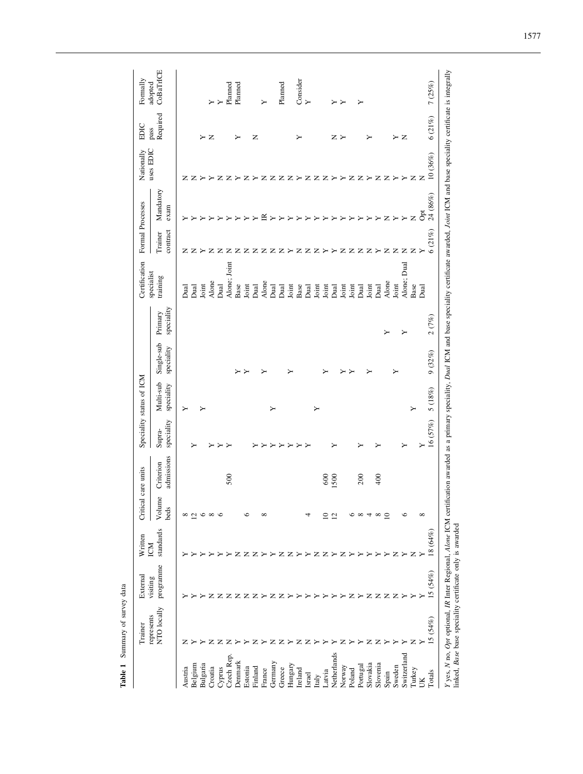<span id="page-2-0"></span>

| $\mathbf{z}$<br>z<br>z<br>Z<br>z<br>≻<br>z<br>z<br>z<br>z<br>z<br>z<br>z<br>z<br>z<br>≻<br>≻<br>z<br>z<br>≻<br>Mandatory<br>exam<br>≅<br>$\mathbb Z$<br>Z<br>≻<br>≻<br>≻<br>≻<br>contract<br>Trainer<br>$\mathsf{z}$<br>$\mathsf{z}$<br>$\mathsf{z}$<br>z z ><br><b>ZZZ</b><br>z<br>$\mathbb Z$<br>$\mathbb Z$<br>Z<br>$\mathbb Z$<br>z<br>z<br>$\mathbf{z}$<br>≻<br>z<br>z<br>z<br>z<br>z<br>≻<br>z<br>≻<br>≻<br>Alone; Joint<br>Alone; Dual<br>training<br>Alone<br>Alone<br>Alone<br>Joint<br>Base<br>Joint<br>Dual<br>Joint<br>Base<br>Joint<br>Base<br>Dual<br><b>Dual</b><br>Joint<br>Joint<br>Joint<br>Joint<br>Dual<br>Dual<br>م<br>مالا<br>م<br>مالا<br>Joint<br><b>Dual</b><br><u>Jaal</u><br><u>Jaal</u><br>speciality<br>Primary<br>↘<br>Single-sub<br>speciality<br>Multi-sub<br>speciality<br>≻<br>≻<br>≻<br>speciality<br>Supra-<br>≻<br>≻<br>≻<br>↘<br>admissions<br>Criterion<br>200<br>400<br>500<br>600<br><b>SOO</b><br>Volume<br>beds<br>∞<br>$\mathcal{L}_{\mathcal{L}}$<br>$\circ$<br>$\infty$<br>$\subseteq$<br>c<br>$\epsilon$<br>∝<br>≘<br>$\overline{c}$<br>$\infty$<br>4<br>$\infty$<br>standards<br>z<br>z<br>z<br>z<br>z<br>z<br>z<br>z<br>z<br>≻<br>programme<br>Z<br>$\mathsf{z}$<br>z<br>z<br>z<br>z<br>z<br>z<br>z<br>z<br>z<br>NTO locally<br>represents<br>z<br>z<br>z<br>z<br>z<br>z<br>Netherlands<br>Switzerland<br>Czech Rep.<br>Denmark<br>Germany<br>Slovakia<br>Slovenia<br>Bulgaria<br>Hungary<br>Belgium<br>Portugal<br>Sweden<br>Norway<br>Finland<br>Austria<br>Croatia<br>Cyprus<br>Estonia<br>Greece<br>Turkey<br>Ireland<br>France<br>Poland<br>atvia<br>Spain<br>Israel<br>Italy<br>UK | Trainer | External | Written<br>ICM | Ĕ | cal care units | Speciality status of ICM |  | Certification | Formal Processes | uses EDIC<br>Nationally | EDIC             | Formally             |
|-------------------------------------------------------------------------------------------------------------------------------------------------------------------------------------------------------------------------------------------------------------------------------------------------------------------------------------------------------------------------------------------------------------------------------------------------------------------------------------------------------------------------------------------------------------------------------------------------------------------------------------------------------------------------------------------------------------------------------------------------------------------------------------------------------------------------------------------------------------------------------------------------------------------------------------------------------------------------------------------------------------------------------------------------------------------------------------------------------------------------------------------------------------------------------------------------------------------------------------------------------------------------------------------------------------------------------------------------------------------------------------------------------------------------------------------------------------------------------------------------------------------------------------------------------------------------------------------------------------------------------------------|---------|----------|----------------|---|----------------|--------------------------|--|---------------|------------------|-------------------------|------------------|----------------------|
|                                                                                                                                                                                                                                                                                                                                                                                                                                                                                                                                                                                                                                                                                                                                                                                                                                                                                                                                                                                                                                                                                                                                                                                                                                                                                                                                                                                                                                                                                                                                                                                                                                           |         | visiting |                |   |                |                          |  | specialist    |                  |                         | Required<br>pass | CoBaTrICE<br>adopted |
|                                                                                                                                                                                                                                                                                                                                                                                                                                                                                                                                                                                                                                                                                                                                                                                                                                                                                                                                                                                                                                                                                                                                                                                                                                                                                                                                                                                                                                                                                                                                                                                                                                           |         |          |                |   |                |                          |  |               |                  |                         |                  |                      |
|                                                                                                                                                                                                                                                                                                                                                                                                                                                                                                                                                                                                                                                                                                                                                                                                                                                                                                                                                                                                                                                                                                                                                                                                                                                                                                                                                                                                                                                                                                                                                                                                                                           |         |          |                |   |                |                          |  |               |                  |                         |                  |                      |
|                                                                                                                                                                                                                                                                                                                                                                                                                                                                                                                                                                                                                                                                                                                                                                                                                                                                                                                                                                                                                                                                                                                                                                                                                                                                                                                                                                                                                                                                                                                                                                                                                                           |         |          |                |   |                |                          |  |               |                  |                         | ≻                |                      |
|                                                                                                                                                                                                                                                                                                                                                                                                                                                                                                                                                                                                                                                                                                                                                                                                                                                                                                                                                                                                                                                                                                                                                                                                                                                                                                                                                                                                                                                                                                                                                                                                                                           |         |          |                |   |                |                          |  |               |                  |                         | Z                | ≻                    |
|                                                                                                                                                                                                                                                                                                                                                                                                                                                                                                                                                                                                                                                                                                                                                                                                                                                                                                                                                                                                                                                                                                                                                                                                                                                                                                                                                                                                                                                                                                                                                                                                                                           |         |          |                |   |                |                          |  |               |                  |                         |                  | ≻                    |
|                                                                                                                                                                                                                                                                                                                                                                                                                                                                                                                                                                                                                                                                                                                                                                                                                                                                                                                                                                                                                                                                                                                                                                                                                                                                                                                                                                                                                                                                                                                                                                                                                                           |         |          |                |   |                |                          |  |               |                  |                         |                  | Planned              |
|                                                                                                                                                                                                                                                                                                                                                                                                                                                                                                                                                                                                                                                                                                                                                                                                                                                                                                                                                                                                                                                                                                                                                                                                                                                                                                                                                                                                                                                                                                                                                                                                                                           |         |          |                |   |                |                          |  |               |                  |                         | ≻                | Planned              |
|                                                                                                                                                                                                                                                                                                                                                                                                                                                                                                                                                                                                                                                                                                                                                                                                                                                                                                                                                                                                                                                                                                                                                                                                                                                                                                                                                                                                                                                                                                                                                                                                                                           |         |          |                |   |                |                          |  |               |                  |                         |                  |                      |
|                                                                                                                                                                                                                                                                                                                                                                                                                                                                                                                                                                                                                                                                                                                                                                                                                                                                                                                                                                                                                                                                                                                                                                                                                                                                                                                                                                                                                                                                                                                                                                                                                                           |         |          |                |   |                |                          |  |               |                  |                         | z                |                      |
|                                                                                                                                                                                                                                                                                                                                                                                                                                                                                                                                                                                                                                                                                                                                                                                                                                                                                                                                                                                                                                                                                                                                                                                                                                                                                                                                                                                                                                                                                                                                                                                                                                           |         |          |                |   |                |                          |  |               |                  |                         |                  |                      |
|                                                                                                                                                                                                                                                                                                                                                                                                                                                                                                                                                                                                                                                                                                                                                                                                                                                                                                                                                                                                                                                                                                                                                                                                                                                                                                                                                                                                                                                                                                                                                                                                                                           |         |          |                |   |                |                          |  |               |                  |                         |                  |                      |
|                                                                                                                                                                                                                                                                                                                                                                                                                                                                                                                                                                                                                                                                                                                                                                                                                                                                                                                                                                                                                                                                                                                                                                                                                                                                                                                                                                                                                                                                                                                                                                                                                                           |         |          |                |   |                |                          |  |               |                  |                         |                  | Planned              |
|                                                                                                                                                                                                                                                                                                                                                                                                                                                                                                                                                                                                                                                                                                                                                                                                                                                                                                                                                                                                                                                                                                                                                                                                                                                                                                                                                                                                                                                                                                                                                                                                                                           |         |          |                |   |                |                          |  |               |                  |                         |                  |                      |
|                                                                                                                                                                                                                                                                                                                                                                                                                                                                                                                                                                                                                                                                                                                                                                                                                                                                                                                                                                                                                                                                                                                                                                                                                                                                                                                                                                                                                                                                                                                                                                                                                                           |         |          |                |   |                |                          |  |               |                  |                         | ≻                | Consider<br>Y        |
|                                                                                                                                                                                                                                                                                                                                                                                                                                                                                                                                                                                                                                                                                                                                                                                                                                                                                                                                                                                                                                                                                                                                                                                                                                                                                                                                                                                                                                                                                                                                                                                                                                           |         |          |                |   |                |                          |  |               |                  |                         |                  |                      |
|                                                                                                                                                                                                                                                                                                                                                                                                                                                                                                                                                                                                                                                                                                                                                                                                                                                                                                                                                                                                                                                                                                                                                                                                                                                                                                                                                                                                                                                                                                                                                                                                                                           |         |          |                |   |                |                          |  |               |                  |                         |                  |                      |
|                                                                                                                                                                                                                                                                                                                                                                                                                                                                                                                                                                                                                                                                                                                                                                                                                                                                                                                                                                                                                                                                                                                                                                                                                                                                                                                                                                                                                                                                                                                                                                                                                                           |         |          |                |   |                |                          |  |               |                  |                         |                  |                      |
|                                                                                                                                                                                                                                                                                                                                                                                                                                                                                                                                                                                                                                                                                                                                                                                                                                                                                                                                                                                                                                                                                                                                                                                                                                                                                                                                                                                                                                                                                                                                                                                                                                           |         |          |                |   |                |                          |  |               |                  |                         | z                |                      |
|                                                                                                                                                                                                                                                                                                                                                                                                                                                                                                                                                                                                                                                                                                                                                                                                                                                                                                                                                                                                                                                                                                                                                                                                                                                                                                                                                                                                                                                                                                                                                                                                                                           |         |          |                |   |                |                          |  |               |                  |                         | ≻                |                      |
|                                                                                                                                                                                                                                                                                                                                                                                                                                                                                                                                                                                                                                                                                                                                                                                                                                                                                                                                                                                                                                                                                                                                                                                                                                                                                                                                                                                                                                                                                                                                                                                                                                           |         |          |                |   |                |                          |  |               |                  |                         |                  |                      |
|                                                                                                                                                                                                                                                                                                                                                                                                                                                                                                                                                                                                                                                                                                                                                                                                                                                                                                                                                                                                                                                                                                                                                                                                                                                                                                                                                                                                                                                                                                                                                                                                                                           |         |          |                |   |                |                          |  |               |                  |                         |                  |                      |
|                                                                                                                                                                                                                                                                                                                                                                                                                                                                                                                                                                                                                                                                                                                                                                                                                                                                                                                                                                                                                                                                                                                                                                                                                                                                                                                                                                                                                                                                                                                                                                                                                                           |         |          |                |   |                |                          |  |               |                  |                         |                  |                      |
|                                                                                                                                                                                                                                                                                                                                                                                                                                                                                                                                                                                                                                                                                                                                                                                                                                                                                                                                                                                                                                                                                                                                                                                                                                                                                                                                                                                                                                                                                                                                                                                                                                           |         |          |                |   |                |                          |  |               |                  |                         |                  |                      |
|                                                                                                                                                                                                                                                                                                                                                                                                                                                                                                                                                                                                                                                                                                                                                                                                                                                                                                                                                                                                                                                                                                                                                                                                                                                                                                                                                                                                                                                                                                                                                                                                                                           |         |          |                |   |                |                          |  |               |                  |                         |                  |                      |
|                                                                                                                                                                                                                                                                                                                                                                                                                                                                                                                                                                                                                                                                                                                                                                                                                                                                                                                                                                                                                                                                                                                                                                                                                                                                                                                                                                                                                                                                                                                                                                                                                                           |         |          |                |   |                |                          |  |               |                  |                         | ≻                |                      |
|                                                                                                                                                                                                                                                                                                                                                                                                                                                                                                                                                                                                                                                                                                                                                                                                                                                                                                                                                                                                                                                                                                                                                                                                                                                                                                                                                                                                                                                                                                                                                                                                                                           |         |          |                |   |                |                          |  |               |                  |                         | $\mathbf{Z}$     |                      |
|                                                                                                                                                                                                                                                                                                                                                                                                                                                                                                                                                                                                                                                                                                                                                                                                                                                                                                                                                                                                                                                                                                                                                                                                                                                                                                                                                                                                                                                                                                                                                                                                                                           |         |          |                |   |                |                          |  |               |                  |                         |                  |                      |
|                                                                                                                                                                                                                                                                                                                                                                                                                                                                                                                                                                                                                                                                                                                                                                                                                                                                                                                                                                                                                                                                                                                                                                                                                                                                                                                                                                                                                                                                                                                                                                                                                                           |         |          |                | ∞ |                |                          |  | Dual          | $\rm \tilde{o}$  | $\mathsf{z}$            |                  |                      |
| 24 (86%)<br>6(21%)<br>2(7%)<br>9(32%)<br>5 (18%)<br>16 (57%)<br>18 (64%)<br>(5.64%)<br>15(54%)<br>Totals                                                                                                                                                                                                                                                                                                                                                                                                                                                                                                                                                                                                                                                                                                                                                                                                                                                                                                                                                                                                                                                                                                                                                                                                                                                                                                                                                                                                                                                                                                                                  |         |          |                |   |                |                          |  |               |                  | 10(36%)                 | 6(21%)           | 7(25%)               |

Table 1 Summary of survey data

Table 1 Summary of survey data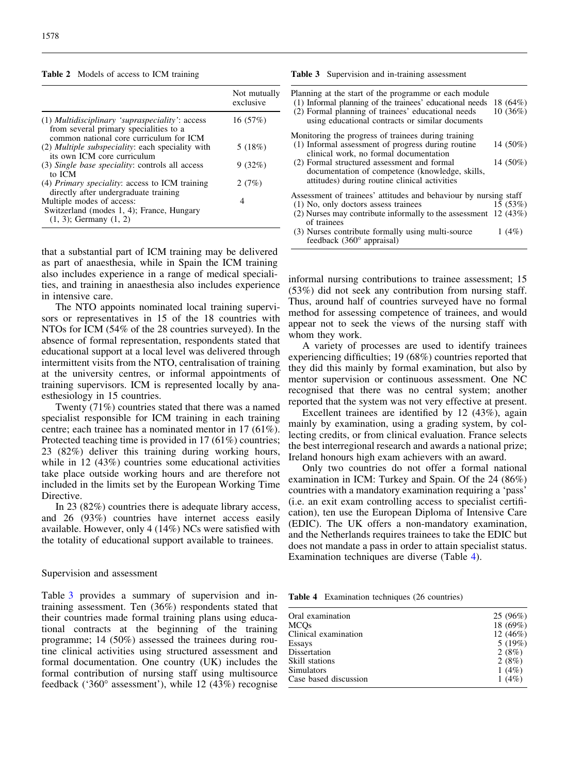<span id="page-3-0"></span>

| Table 2 Models of access to ICM training |  |  |  |
|------------------------------------------|--|--|--|
|------------------------------------------|--|--|--|

|                                                                                                                                        | Not mutually<br>exclusive |
|----------------------------------------------------------------------------------------------------------------------------------------|---------------------------|
| $(1)$ Multidisciplinary 'supraspeciality': access<br>from several primary specialities to a<br>common national core curriculum for ICM | 16(57%)                   |
| (2) <i>Multiple subspeciality</i> : each speciality with<br>its own ICM core curriculum                                                | 5(18%)                    |
| (3) Single base speciality: controls all access<br>to ICM                                                                              | 9(32%)                    |
| (4) <i>Primary speciality:</i> access to ICM training<br>directly after undergraduate training                                         | 2(7%)                     |
| Multiple modes of access:<br>Switzerland (modes 1, 4); France, Hungary<br>$(1, 3)$ ; Germany $(1, 2)$                                  | 4                         |

that a substantial part of ICM training may be delivered as part of anaesthesia, while in Spain the ICM training also includes experience in a range of medical specialities, and training in anaesthesia also includes experience in intensive care.

The NTO appoints nominated local training supervisors or representatives in 15 of the 18 countries with NTOs for ICM (54% of the 28 countries surveyed). In the absence of formal representation, respondents stated that educational support at a local level was delivered through intermittent visits from the NTO, centralisation of training at the university centres, or informal appointments of training supervisors. ICM is represented locally by anaesthesiology in 15 countries.

Twenty (71%) countries stated that there was a named specialist responsible for ICM training in each training centre; each trainee has a nominated mentor in 17 (61%). Protected teaching time is provided in 17 (61%) countries; 23 (82%) deliver this training during working hours, while in 12 (43%) countries some educational activities take place outside working hours and are therefore not included in the limits set by the European Working Time Directive.

In 23 (82%) countries there is adequate library access, and 26 (93%) countries have internet access easily available. However, only 4 (14%) NCs were satisfied with the totality of educational support available to trainees.

#### Supervision and assessment

Table 3 provides a summary of supervision and intraining assessment. Ten (36%) respondents stated that their countries made formal training plans using educational contracts at the beginning of the training programme; 14 (50%) assessed the trainees during routine clinical activities using structured assessment and formal documentation. One country (UK) includes the formal contribution of nursing staff using multisource feedback ('360° assessment'), while 12 (43%) recognise

|  |  | <b>Table 3</b> Supervision and in-training assessment |  |
|--|--|-------------------------------------------------------|--|
|--|--|-------------------------------------------------------|--|

| Planning at the start of the programme or each module<br>(1) Informal planning of the trainees' educational needs<br>(2) Formal planning of trainees' educational needs<br>using educational contracts or similar documents | 18 $(64%)$<br>$10(36\%)$ |
|-----------------------------------------------------------------------------------------------------------------------------------------------------------------------------------------------------------------------------|--------------------------|
| Monitoring the progress of trainees during training                                                                                                                                                                         |                          |
| (1) Informal assessment of progress during routine<br>clinical work, no formal documentation                                                                                                                                | 14 (50%)                 |
| (2) Formal structured assessment and formal<br>documentation of competence (knowledge, skills,<br>attitudes) during routine clinical activities                                                                             | 14 (50%)                 |
| Assessment of trainees' attitudes and behaviour by nursing staff                                                                                                                                                            |                          |
| (1) No, only doctors assess trainees                                                                                                                                                                                        | 15(53%)                  |
| (2) Nurses may contribute informally to the assessment $12$ (43%)<br>of trainees                                                                                                                                            |                          |
| (3) Nurses contribute formally using multi-source<br>feedback $(360^\circ \text{ appraisal})$                                                                                                                               | 1 $(4%)$                 |

informal nursing contributions to trainee assessment; 15 (53%) did not seek any contribution from nursing staff. Thus, around half of countries surveyed have no formal method for assessing competence of trainees, and would appear not to seek the views of the nursing staff with whom they work.

A variety of processes are used to identify trainees experiencing difficulties; 19 (68%) countries reported that they did this mainly by formal examination, but also by mentor supervision or continuous assessment. One NC recognised that there was no central system; another reported that the system was not very effective at present.

Excellent trainees are identified by 12 (43%), again mainly by examination, using a grading system, by collecting credits, or from clinical evaluation. France selects the best interregional research and awards a national prize; Ireland honours high exam achievers with an award.

Only two countries do not offer a formal national examination in ICM: Turkey and Spain. Of the 24 (86%) countries with a mandatory examination requiring a 'pass' (i.e. an exit exam controlling access to specialist certification), ten use the European Diploma of Intensive Care (EDIC). The UK offers a non-mandatory examination, and the Netherlands requires trainees to take the EDIC but does not mandate a pass in order to attain specialist status. Examination techniques are diverse (Table 4).

Table 4 Examination techniques (26 countries)

| Oral examination<br><b>MCOs</b><br>Clinical examination | 25 (96%)<br>18 (69%)<br>12 $(46%)$ |
|---------------------------------------------------------|------------------------------------|
| Essays                                                  | 5(19%)                             |
| Dissertation                                            | 2(8%)                              |
| Skill stations                                          | 2(8%)                              |
| <b>Simulators</b>                                       | 1 $(4%)$                           |
| Case based discussion                                   | 1 $(4%)$                           |
|                                                         |                                    |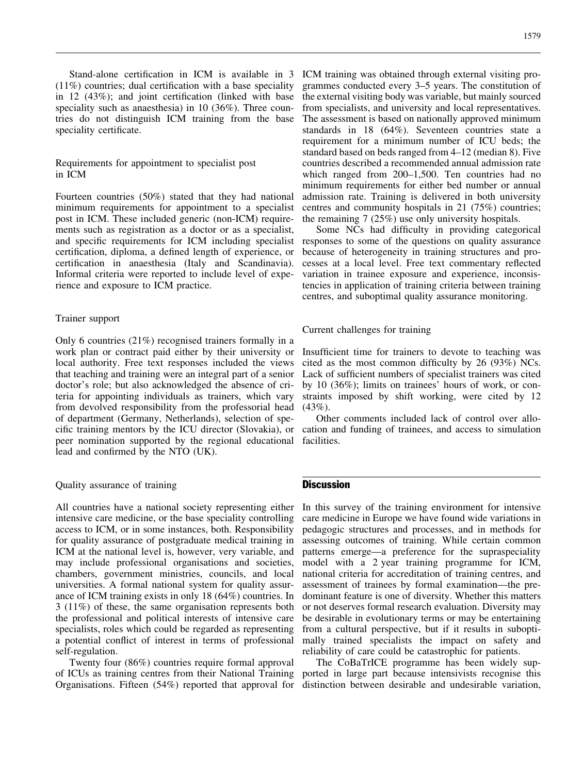Stand-alone certification in ICM is available in 3 (11%) countries; dual certification with a base speciality in 12 (43%); and joint certification (linked with base speciality such as anaesthesia) in 10 (36%). Three countries do not distinguish ICM training from the base speciality certificate.

# Requirements for appointment to specialist post in ICM

Fourteen countries (50%) stated that they had national minimum requirements for appointment to a specialist post in ICM. These included generic (non-ICM) requirements such as registration as a doctor or as a specialist, and specific requirements for ICM including specialist certification, diploma, a defined length of experience, or certification in anaesthesia (Italy and Scandinavia). Informal criteria were reported to include level of experience and exposure to ICM practice.

#### Trainer support

Only 6 countries (21%) recognised trainers formally in a work plan or contract paid either by their university or local authority. Free text responses included the views that teaching and training were an integral part of a senior doctor's role; but also acknowledged the absence of criteria for appointing individuals as trainers, which vary from devolved responsibility from the professorial head of department (Germany, Netherlands), selection of specific training mentors by the ICU director (Slovakia), or peer nomination supported by the regional educational lead and confirmed by the NTO (UK).

# Quality assurance of training

All countries have a national society representing either intensive care medicine, or the base speciality controlling access to ICM, or in some instances, both. Responsibility for quality assurance of postgraduate medical training in ICM at the national level is, however, very variable, and may include professional organisations and societies, chambers, government ministries, councils, and local universities. A formal national system for quality assurance of ICM training exists in only 18 (64%) countries. In 3 (11%) of these, the same organisation represents both the professional and political interests of intensive care specialists, roles which could be regarded as representing a potential conflict of interest in terms of professional self-regulation.

Twenty four (86%) countries require formal approval of ICUs as training centres from their National Training Organisations. Fifteen (54%) reported that approval for

ICM training was obtained through external visiting programmes conducted every 3–5 years. The constitution of the external visiting body was variable, but mainly sourced from specialists, and university and local representatives. The assessment is based on nationally approved minimum standards in 18 (64%). Seventeen countries state a requirement for a minimum number of ICU beds; the standard based on beds ranged from 4–12 (median 8). Five countries described a recommended annual admission rate which ranged from 200–1,500. Ten countries had no minimum requirements for either bed number or annual admission rate. Training is delivered in both university centres and community hospitals in 21 (75%) countries; the remaining 7 (25%) use only university hospitals.

Some NCs had difficulty in providing categorical responses to some of the questions on quality assurance because of heterogeneity in training structures and processes at a local level. Free text commentary reflected variation in trainee exposure and experience, inconsistencies in application of training criteria between training centres, and suboptimal quality assurance monitoring.

# Current challenges for training

Insufficient time for trainers to devote to teaching was cited as the most common difficulty by 26 (93%) NCs. Lack of sufficient numbers of specialist trainers was cited by 10 (36%); limits on trainees' hours of work, or constraints imposed by shift working, were cited by 12  $(43\%)$ .

Other comments included lack of control over allocation and funding of trainees, and access to simulation facilities.

# **Discussion**

In this survey of the training environment for intensive care medicine in Europe we have found wide variations in pedagogic structures and processes, and in methods for assessing outcomes of training. While certain common patterns emerge—a preference for the supraspeciality model with a 2 year training programme for ICM, national criteria for accreditation of training centres, and assessment of trainees by formal examination—the predominant feature is one of diversity. Whether this matters or not deserves formal research evaluation. Diversity may be desirable in evolutionary terms or may be entertaining from a cultural perspective, but if it results in suboptimally trained specialists the impact on safety and reliability of care could be catastrophic for patients.

The CoBaTrICE programme has been widely supported in large part because intensivists recognise this distinction between desirable and undesirable variation,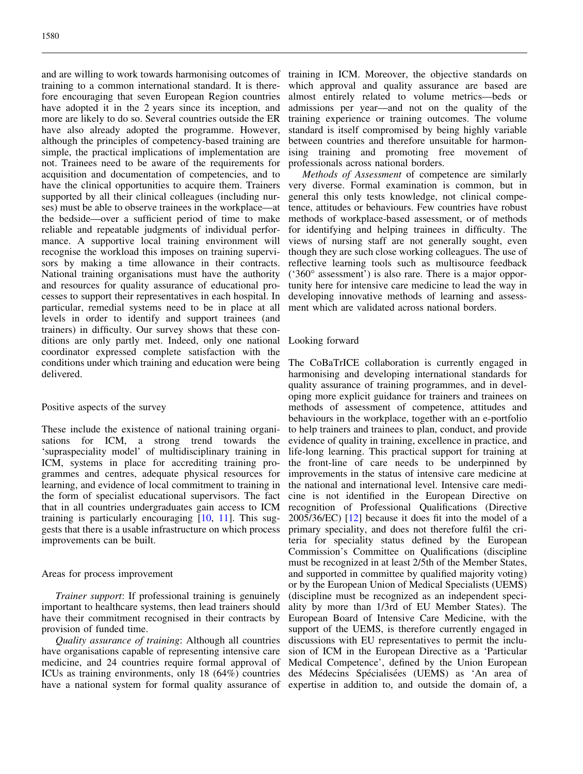and are willing to work towards harmonising outcomes of training to a common international standard. It is therefore encouraging that seven European Region countries have adopted it in the 2 years since its inception, and more are likely to do so. Several countries outside the ER have also already adopted the programme. However, although the principles of competency-based training are simple, the practical implications of implementation are not. Trainees need to be aware of the requirements for acquisition and documentation of competencies, and to have the clinical opportunities to acquire them. Trainers supported by all their clinical colleagues (including nurses) must be able to observe trainees in the workplace—at the bedside—over a sufficient period of time to make reliable and repeatable judgments of individual performance. A supportive local training environment will recognise the workload this imposes on training supervisors by making a time allowance in their contracts. National training organisations must have the authority and resources for quality assurance of educational processes to support their representatives in each hospital. In particular, remedial systems need to be in place at all levels in order to identify and support trainees (and trainers) in difficulty. Our survey shows that these conditions are only partly met. Indeed, only one national coordinator expressed complete satisfaction with the conditions under which training and education were being delivered.

## Positive aspects of the survey

These include the existence of national training organisations for ICM, a strong trend towards the 'supraspeciality model' of multidisciplinary training in ICM, systems in place for accrediting training programmes and centres, adequate physical resources for learning, and evidence of local commitment to training in the form of specialist educational supervisors. The fact that in all countries undergraduates gain access to ICM training is particularly encouraging [\[10,](#page-8-0) [11\]](#page-8-0). This suggests that there is a usable infrastructure on which process improvements can be built.

#### Areas for process improvement

Trainer support: If professional training is genuinely important to healthcare systems, then lead trainers should have their commitment recognised in their contracts by provision of funded time.

Quality assurance of training: Although all countries have organisations capable of representing intensive care medicine, and 24 countries require formal approval of ICUs as training environments, only 18 (64%) countries have a national system for formal quality assurance of

training in ICM. Moreover, the objective standards on which approval and quality assurance are based are almost entirely related to volume metrics—beds or admissions per year—and not on the quality of the training experience or training outcomes. The volume standard is itself compromised by being highly variable between countries and therefore unsuitable for harmonising training and promoting free movement of professionals across national borders.

Methods of Assessment of competence are similarly very diverse. Formal examination is common, but in general this only tests knowledge, not clinical competence, attitudes or behaviours. Few countries have robust methods of workplace-based assessment, or of methods for identifying and helping trainees in difficulty. The views of nursing staff are not generally sought, even though they are such close working colleagues. The use of reflective learning tools such as multisource feedback ('360° assessment') is also rare. There is a major opportunity here for intensive care medicine to lead the way in developing innovative methods of learning and assessment which are validated across national borders.

## Looking forward

The CoBaTrICE collaboration is currently engaged in harmonising and developing international standards for quality assurance of training programmes, and in developing more explicit guidance for trainers and trainees on methods of assessment of competence, attitudes and behaviours in the workplace, together with an e-portfolio to help trainers and trainees to plan, conduct, and provide evidence of quality in training, excellence in practice, and life-long learning. This practical support for training at the front-line of care needs to be underpinned by improvements in the status of intensive care medicine at the national and international level. Intensive care medicine is not identified in the European Directive on recognition of Professional Qualifications (Directive 2005/36/EC) [\[12](#page-8-0)] because it does fit into the model of a primary speciality, and does not therefore fulfil the criteria for speciality status defined by the European Commission's Committee on Qualifications (discipline must be recognized in at least 2/5th of the Member States, and supported in committee by qualified majority voting) or by the European Union of Medical Specialists (UEMS) (discipline must be recognized as an independent speciality by more than 1/3rd of EU Member States). The European Board of Intensive Care Medicine, with the support of the UEMS, is therefore currently engaged in discussions with EU representatives to permit the inclusion of ICM in the European Directive as a 'Particular Medical Competence', defined by the Union European des Médecins Spécialisées (UEMS) as 'An area of expertise in addition to, and outside the domain of, a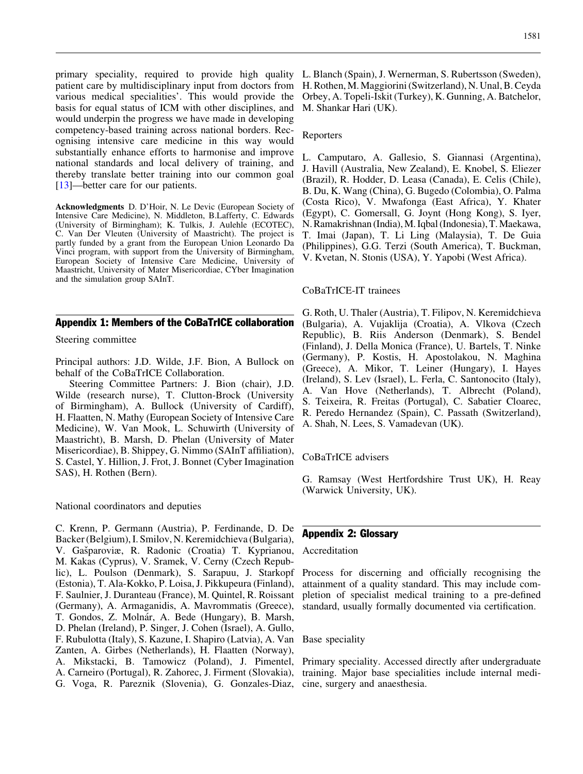<span id="page-6-0"></span>primary speciality, required to provide high quality patient care by multidisciplinary input from doctors from various medical specialities'. This would provide the basis for equal status of ICM with other disciplines, and would underpin the progress we have made in developing competency-based training across national borders. Recognising intensive care medicine in this way would substantially enhance efforts to harmonise and improve national standards and local delivery of training, and thereby translate better training into our common goal [\[13\]](#page-8-0)—better care for our patients.

Acknowledgments D. D'Hoir, N. Le Devic (European Society of Intensive Care Medicine), N. Middleton, B.Lafferty, C. Edwards (University of Birmingham); K. Tulkis, J. Aulehle (ECOTEC), C. Van Der Vleuten (University of Maastricht). The project is partly funded by a grant from the European Union Leonardo Da Vinci program, with support from the University of Birmingham, European Society of Intensive Care Medicine, University of Maastricht, University of Mater Misericordiae, CYber Imagination and the simulation group SAInT.

# Appendix 1: Members of the CoBaTrICE collaboration

Steering committee

Principal authors: J.D. Wilde, J.F. Bion, A Bullock on behalf of the CoBaTrICE Collaboration.

Steering Committee Partners: J. Bion (chair), J.D. Wilde (research nurse), T. Clutton-Brock (University of Birmingham), A. Bullock (University of Cardiff), H. Flaatten, N. Mathy (European Society of Intensive Care Medicine), W. Van Mook, L. Schuwirth (University of Maastricht), B. Marsh, D. Phelan (University of Mater Misericordiae), B. Shippey, G. Nimmo (SAInT affiliation), S. Castel, Y. Hillion, J. Frot, J. Bonnet (Cyber Imagination SAS), H. Rothen (Bern).

National coordinators and deputies

C. Krenn, P. Germann (Austria), P. Ferdinande, D. De Backer (Belgium), I. Smilov, N. Keremidchieva (Bulgaria), V. Gašparoviæ, R. Radonic (Croatia) T. Kyprianou, M. Kakas (Cyprus), V. Sramek, V. Cerny (Czech Republic), L. Poulson (Denmark), S. Sarapuu, J. Starkopf (Estonia), T. Ala-Kokko, P. Loisa, J. Pikkupeura (Finland), F. Saulnier, J. Duranteau (France), M. Quintel, R. Roissant (Germany), A. Armaganidis, A. Mavrommatis (Greece), T. Gondos, Z. Molnár, A. Bede (Hungary), B. Marsh, D. Phelan (Ireland), P. Singer, J. Cohen (Israel), A. Gullo, F. Rubulotta (Italy), S. Kazune, I. Shapiro (Latvia), A. Van Zanten, A. Girbes (Netherlands), H. Flaatten (Norway), A. Mikstacki, B. Tamowicz (Poland), J. Pimentel, A. Carneiro (Portugal), R. Zahorec, J. Firment (Slovakia), G. Voga, R. Pareznik (Slovenia), G. Gonzales-Diaz,

L. Blanch (Spain), J. Wernerman, S. Rubertsson (Sweden), H. Rothen, M. Maggiorini (Switzerland), N. Unal, B. Ceyda Orbey, A. Topeli-Iskit (Turkey), K. Gunning, A. Batchelor, M. Shankar Hari (UK).

#### Reporters

L. Camputaro, A. Gallesio, S. Giannasi (Argentina), J. Havill (Australia, New Zealand), E. Knobel, S. Eliezer (Brazil), R. Hodder, D. Leasa (Canada), E. Celis (Chile), B. Du, K. Wang (China), G. Bugedo (Colombia), O. Palma (Costa Rico), V. Mwafonga (East Africa), Y. Khater (Egypt), C. Gomersall, G. Joynt (Hong Kong), S. Iyer, N. Ramakrishnan (India), M. Iqbal (Indonesia), T. Maekawa, T. Imai (Japan), T. Li Ling (Malaysia), T. De Guia (Philippines), G.G. Terzi (South America), T. Buckman, V. Kvetan, N. Stonis (USA), Y. Yapobi (West Africa).

#### CoBaTrICE-IT trainees

G. Roth, U. Thaler (Austria), T. Filipov, N. Keremidchieva (Bulgaria), A. Vujaklija (Croatia), A. Vlkova (Czech Republic), B. Riis Anderson (Denmark), S. Bendel (Finland), J. Della Monica (France), U. Bartels, T. Ninke (Germany), P. Kostis, H. Apostolakou, N. Maghina (Greece), A. Mikor, T. Leiner (Hungary), I. Hayes (Ireland), S. Lev (Israel), L. Ferla, C. Santonocito (Italy), A. Van Hove (Netherlands), T. Albrecht (Poland), S. Teixeira, R. Freitas (Portugal), C. Sabatier Cloarec, R. Peredo Hernandez (Spain), C. Passath (Switzerland), A. Shah, N. Lees, S. Vamadevan (UK).

#### CoBaTrICE advisers

G. Ramsay (West Hertfordshire Trust UK), H. Reay (Warwick University, UK).

# Appendix 2: Glossary

#### Accreditation

Process for discerning and officially recognising the attainment of a quality standard. This may include completion of specialist medical training to a pre-defined standard, usually formally documented via certification.

# Base speciality

Primary speciality. Accessed directly after undergraduate training. Major base specialities include internal medicine, surgery and anaesthesia.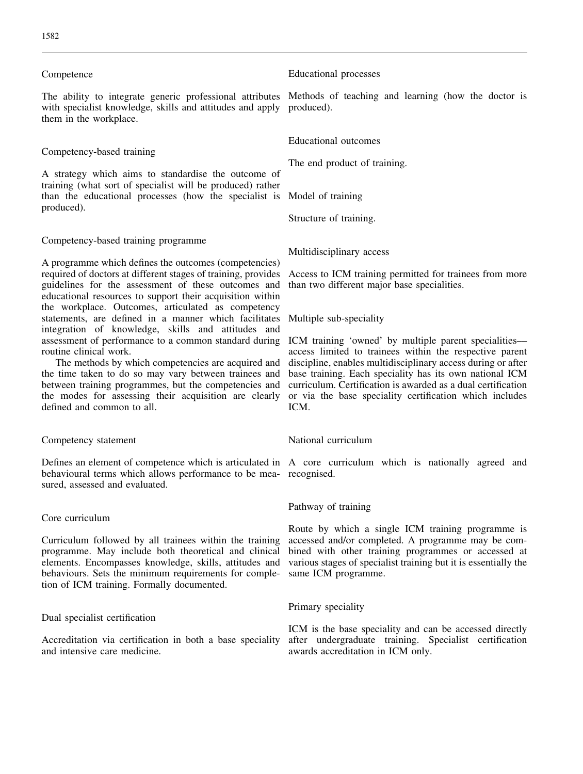### Competence

The ability to integrate generic professional attributes Methods of teaching and learning (how the doctor is with specialist knowledge, skills and attitudes and apply produced). them in the workplace.

# Competency-based training

A strategy which aims to standardise the outcome of training (what sort of specialist will be produced) rather than the educational processes (how the specialist is Model of training produced).

# Competency-based training programme

A programme which defines the outcomes (competencies) required of doctors at different stages of training, provides guidelines for the assessment of these outcomes and educational resources to support their acquisition within the workplace. Outcomes, articulated as competency statements, are defined in a manner which facilitates integration of knowledge, skills and attitudes and assessment of performance to a common standard during routine clinical work.

The methods by which competencies are acquired and the time taken to do so may vary between trainees and between training programmes, but the competencies and the modes for assessing their acquisition are clearly defined and common to all.

#### Competency statement

behavioural terms which allows performance to be mea-recognised. sured, assessed and evaluated.

### Core curriculum

Curriculum followed by all trainees within the training programme. May include both theoretical and clinical elements. Encompasses knowledge, skills, attitudes and behaviours. Sets the minimum requirements for completion of ICM training. Formally documented.

### Dual specialist certification

Accreditation via certification in both a base speciality and intensive care medicine.

Educational processes

Educational outcomes

The end product of training.

Structure of training.

Multidisciplinary access

Access to ICM training permitted for trainees from more than two different major base specialities.

Multiple sub-speciality

ICM training 'owned' by multiple parent specialitiesaccess limited to trainees within the respective parent discipline, enables multidisciplinary access during or after base training. Each speciality has its own national ICM curriculum. Certification is awarded as a dual certification or via the base speciality certification which includes ICM.

#### National curriculum

Defines an element of competence which is articulated in A core curriculum which is nationally agreed and

# Pathway of training

Route by which a single ICM training programme is accessed and/or completed. A programme may be combined with other training programmes or accessed at various stages of specialist training but it is essentially the same ICM programme.

## Primary speciality

ICM is the base speciality and can be accessed directly after undergraduate training. Specialist certification awards accreditation in ICM only.